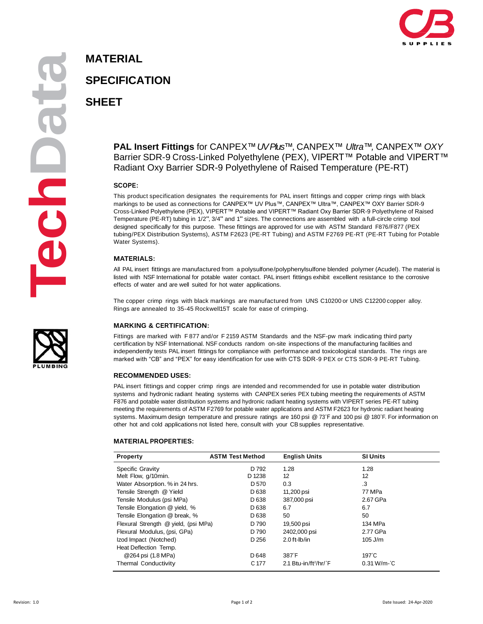

**aMATERIAL**

# **SPECIFICATION**

**SHEET**

### **PAL Insert Fittings** for CANPEX™ *UV Plus™*, CANPEX™ *Ultra™,* CANPEX™ *OXY* Barrier SDR-9 Cross-Linked Polyethylene (PEX), VIPERT™ Potable and VIPERT™ Radiant Oxy Barrier SDR-9 Polyethylene of Raised Temperature (PE-RT)

#### **SCOPE:**

This product specification designates the requirements for PAL insert fittings and copper crimp rings with black markings to be used as connections for CANPEX™ UV Plus™, CANPEX™ Ultra™, CANPEX™ OXY Barrier SDR-9 Cross-Linked Polyethylene (PEX), VIPERT™ Potable and VIPERT™ Radiant Oxy Barrier SDR-9 Polyethylene of Raised Temperature (PE-RT) tubing in 1/2", 3/4" and 1" sizes. The connections are assembled with <sup>a</sup> full-circle crimp tool designed specifically for this purpose. These fittings are approved for use with ASTM Standard F876/F877 (PEX tubing/PEX Distribution Systems), ASTM F2623 (PE-RT Tubing) and ASTM F2769 PE-RT (PE-RT Tubing for Potable Water Systems).

#### **MATERIALS:**

All PAL insert fittings are manufactured from a polysulfone/polyphenylsulfone blended polymer (Acudel). The material is listed with NSF International for potable water contact. PAL insert fittings exhibit excellent resistance to the corrosive effects of water and are well suited for hot water applications.

The copper crimp rings with black markings are manufactured from UNS C10200 or UNS C12200 copper alloy. Rings are annealed to 35-45 Rockwell15T scale for ease of crimping.

#### **MARKING & CERTIFICATION:**

Fittings are marked with F 877 and/or F 2159 ASTM Standards and the NSF-pw mark indicating third party certification by NSF International. NSF conducts random on-site inspections of the manufacturing facilities and independently tests PAL insert fittings for compliance with performance and toxicological standards. The rings are marked with "CB" and "PEX" for easy identification for use with CTS SDR-9 PEX or CTS SDR-9 PE-RT Tubing.

#### **RECOMMENDED USES:**

PAL insert fittings and copper crimp rings are intended and recommended for use in potable water distribution systems and hydronic radiant heating systems with CANPEX series PEX tubing meeting the requirements of ASTM F876 and potable water distribution systems and hydronic radiant heating systems with VIPERT series PE-RT tubing meeting the requirements of ASTM F2769 for potable water applications and ASTM F2623 for hydronic radiant heating systems. Maximum design temperature and pressure ratings are 160 psi @ 73˚F and 100 psi @ 180˚F. For information on other hot and cold applications not listed here, consult with your CBsupplies representative.

#### **MATERIAL PROPERTIES:**

| <b>Property</b>                      | <b>ASTM Test Method</b> | <b>English Units</b>              | <b>SI Units</b> |
|--------------------------------------|-------------------------|-----------------------------------|-----------------|
| Specific Gravity                     | D 792                   | 1.28                              | 1.28            |
| Melt Flow, g/10min.                  | D 1238                  | 12                                | 12              |
| Water Absorption. % in 24 hrs.       | D 570                   | 0.3                               | .3              |
| Tensile Strength @ Yield             | D <sub>638</sub>        | 11,200 psi                        | 77 MPa          |
| Tensile Modulus (psi MPa)            | D <sub>638</sub>        | 387,000 psi                       | 2.67 GPa        |
| Tensile Elongation @ yield, %        | D <sub>638</sub>        | 6.7                               | 6.7             |
| Tensile Elongation @ break, %        | D <sub>638</sub>        | 50                                | 50              |
| Flexural Strength @ yield, (psi MPa) | D 790                   | 19,500 psi                        | 134 MPa         |
| Flexural Modulus, (psi, GPa)         | D 790                   | 2402,000 psi                      | 2.77 GPa        |
| Izod Impact (Notched)                | D 256                   | $2.0$ ft-lb/in                    | $105$ J/m       |
| Heat Deflection Temp.                |                         |                                   |                 |
| @264 psi (1.8 MPa)                   | D 648                   | 387°F                             | $197^\circ C$   |
| Thermal Conductivity                 | C 177                   | 2.1 Btu-in/ft <sup>2</sup> /hr/°F | $0.31 W/m-C$    |